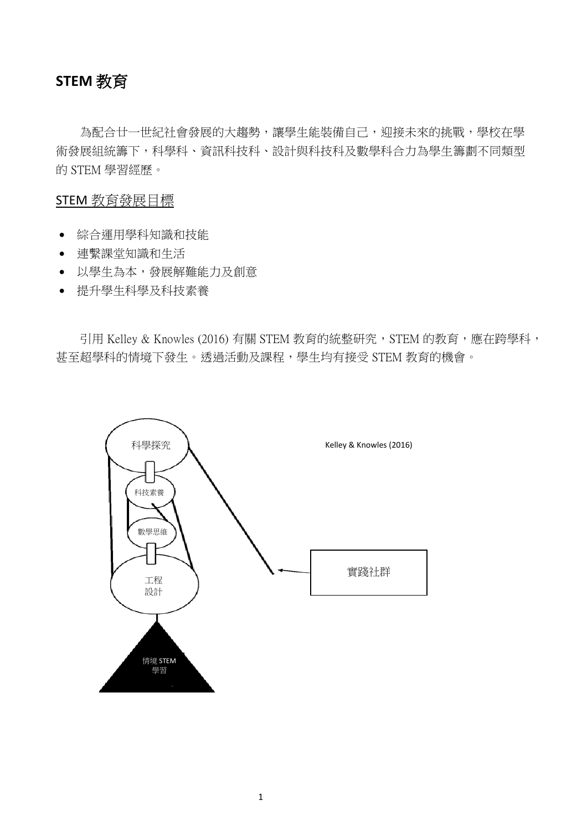# **STEM** 教育

為配合廿一世紀社會發展的大趨勢,讓學生能裝備自己,迎接未來的挑戰,學校在學 術發展組統籌下,科學科、資訊科技科、設計與科技科及數學科合力為學生籌劃不同類型 的 STEM 學習經歷。

#### STEM 教育發展目標

- 綜合運用學科知識和技能
- 連繫課堂知識和生活
- 以學生為本,發展解難能力及創意
- 提升學生科學及科技素養

引用 Kelley & Knowles (2016) 有關 STEM 教育的統整研究, STEM 的教育, 應在跨學科, 甚至超學科的情境下發生。透過活動及課程,學生均有接受 STEM 教育的機會。

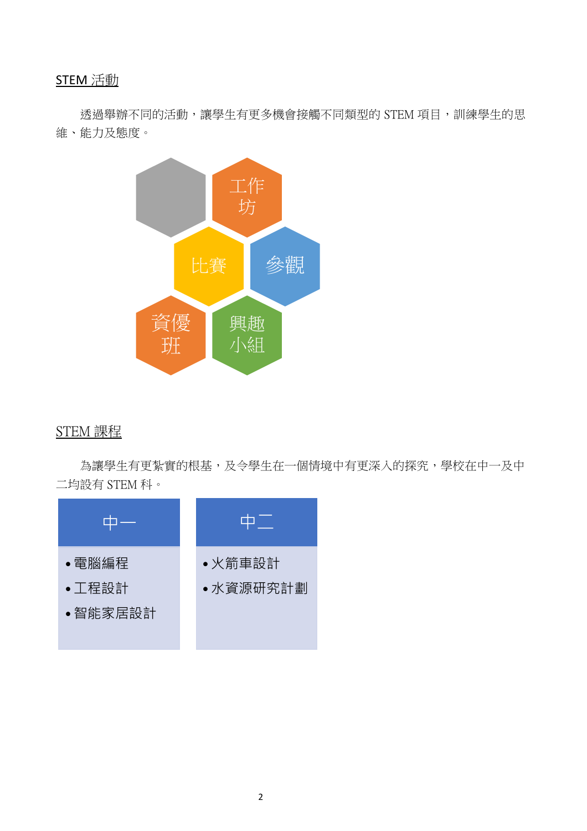# STEM 活動

透過舉辦不同的活動,讓學生有更多機會接觸不同類型的 STEM 項目,訓練學生的思 維、能力及態度。



## STEM 課程

為讓學生有更紮實的根基,及令學生在一個情境中有更深入的探究,學校在中一及中 二均設有 STEM 科。

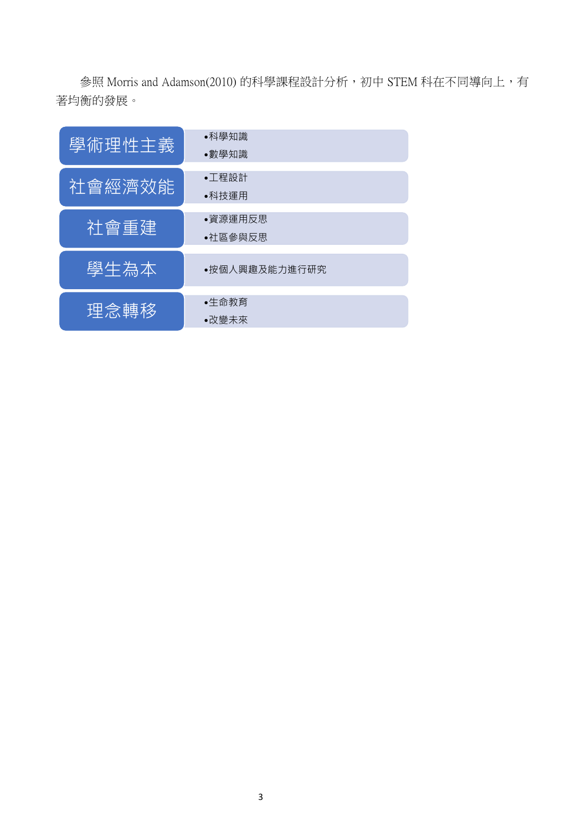參照 Morris and Adamson(2010) 的科學課程設計分析,初中 STEM 科在不同導向上,有 著均衡的發展。

| 學術理性主義 | ●科學知識         |
|--------|---------------|
|        | ●數學知識         |
| 社會經濟效能 | •工程設計         |
|        | ●科技運用         |
|        | ●資源運用反思       |
| 社會重建   |               |
|        | ●社區參與反思       |
|        |               |
| 學生為本   | ●按個人興趣及能力進行研究 |
|        |               |
| 理念轉移   | ●生命教育         |
|        | ●改變未來         |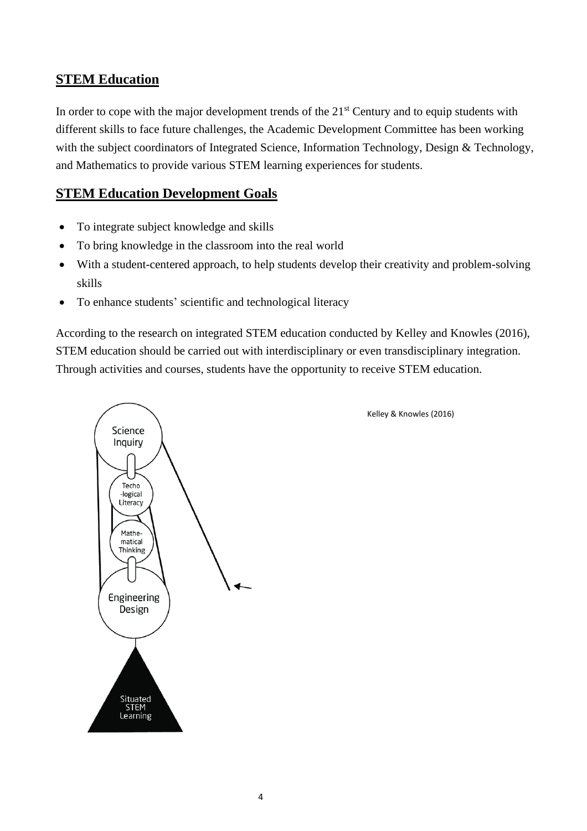#### **STEM Education**

In order to cope with the major development trends of the 21<sup>st</sup> Century and to equip students with different skills to face future challenges, the Academic Development Committee has been working with the subject coordinators of Integrated Science, Information Technology, Design & Technology, and Mathematics to provide various STEM learning experiences for students.

## **STEM Education Development Goals**

- To integrate subject knowledge and skills
- To bring knowledge in the classroom into the real world
- With a student-centered approach, to help students develop their creativity and problem-solving skills
- To enhance students' scientific and technological literacy

According to the research on integrated STEM education conducted by Kelley and Knowles (2016), STEM education should be carried out with interdisciplinary or even transdisciplinary integration. Through activities and courses, students have the opportunity to receive STEM education.



Kelley & Knowles (2016)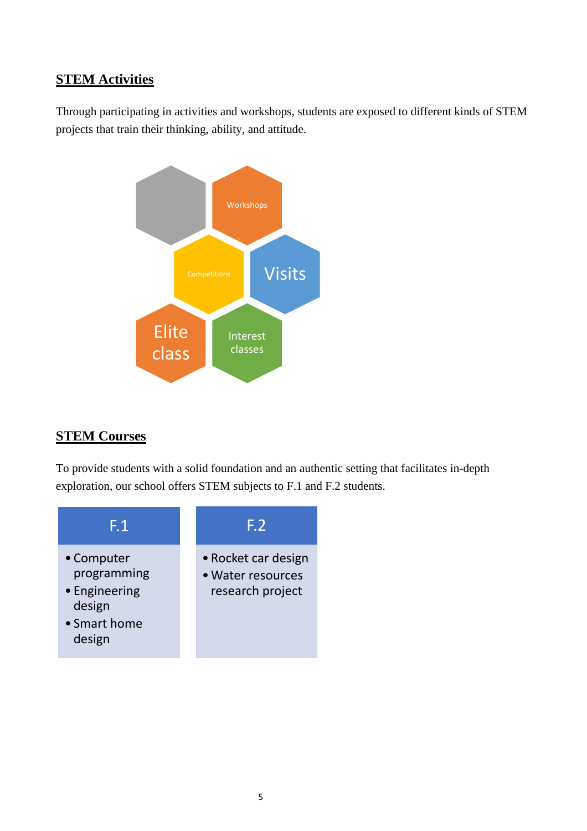## **STEM Activities**

Through participating in activities and workshops, students are exposed to different kinds of STEM projects that train their thinking, ability, and attitude.



## **STEM Courses**

To provide students with a solid foundation and an authentic setting that facilitates in-depth exploration, our school offers STEM subjects to F.1 and F.2 students.